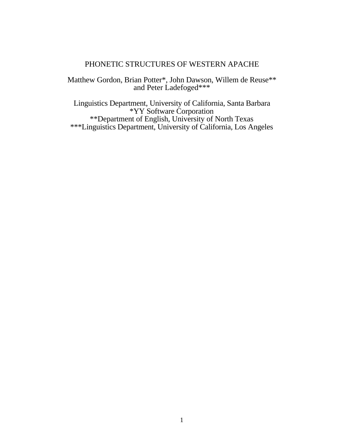# PHONETIC STRUCTURES OF WESTERN APACHE

Matthew Gordon, Brian Potter\*, John Dawson, Willem de Reuse\*\* and Peter Ladefoged\*\*\*

Linguistics Department, University of California, Santa Barbara \*YY Software Corporation \*\*Department of English, University of North Texas \*\*\*Linguistics Department, University of California, Los Angeles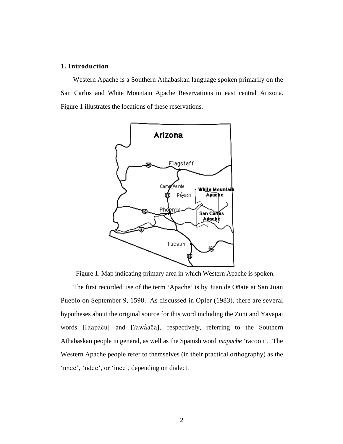## **1. Introduction**

Western Apache is a Southern Athabaskan language spoken primarily on the San Carlos and White Mountain Apache Reservations in east central Arizona. Figure 1 illustrates the locations of these reservations.



Figure 1. Map indicating primary area in which Western Apache is spoken.

The first recorded use of the term 'Apache' is by Juan de Oñate at San Juan Pueblo on September 9, 1598. As discussed in Opler (1983), there are several hypotheses about the original source for this word including the Zuni and Yavapai words [?aapaču] and [?awáača], respectively, referring to the Southern Athabaskan people in general, as well as the Spanish word *mapache* 'racoon'. The Western Apache people refer to themselves (in their practical orthography) as the 'nnee', 'ndee', or 'inee', depending on dialect.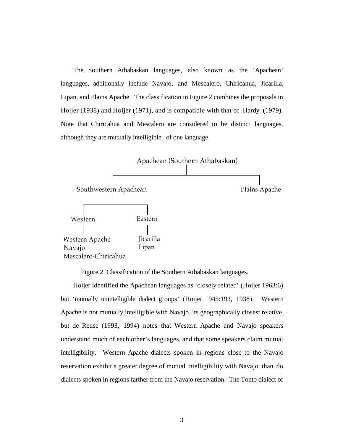The Southern Athabaskan languages, also known as the 'Apachean' languages, additionally include Navajo, and Mescalero, Chiricahua, Jicarilla, Lipan, and Plains Apache. The classification in Figure 2 combines the proposals in Hoijer (1938) and Hoijer (1971), and is compatible with that of Hardy (1979). Note that Chiricahua and Mescalero are considered to be distinct languages, although they are mutually intelligible. of one language.



Figure 2. Classification of the Southern Athabaskan languages.

Hoijer identified the Apachean languages as 'closely related' (Hoijer 1963:6) but 'mutually unintelligible dialect groups' (Hoijer 1945:193, 1938). Western Apache is not mutually intelligible with Navajo, its geographically closest relative, but de Reuse (1993, 1994) notes that Western Apache and Navajo speakers understand much of each other's languages, and that some speakers claim mutual intelligibility. Western Apache dialects spoken in regions close to the Navajo reservation exhibit a greater degree of mutual intelligibility with Navajo than do dialects spoken in regions farther from the Navajo reservation. The Tonto dialect of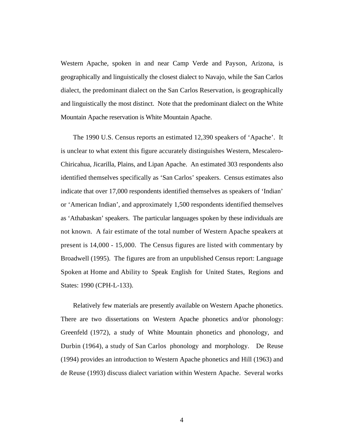Western Apache, spoken in and near Camp Verde and Payson, Arizona, is geographically and linguistically the closest dialect to Navajo, while the San Carlos dialect, the predominant dialect on the San Carlos Reservation, is geographically and linguistically the most distinct. Note that the predominant dialect on the White Mountain Apache reservation is White Mountain Apache.

The 1990 U.S. Census reports an estimated 12,390 speakers of 'Apache'. It is unclear to what extent this figure accurately distinguishes Western, Mescalero-Chiricahua, Jicarilla, Plains, and Lipan Apache. An estimated 303 respondents also identified themselves specifically as 'San Carlos' speakers. Census estimates also indicate that over 17,000 respondents identified themselves as speakers of 'Indian' or 'American Indian', and approximately 1,500 respondents identified themselves as 'Athabaskan' speakers. The particular languages spoken by these individuals are not known. A fair estimate of the total number of Western Apache speakers at present is 14,000 - 15,000. The Census figures are listed with commentary by Broadwell (1995). The figures are from an unpublished Census report: Language Spoken at Home and Ability to Speak English for United States, Regions and States: 1990 (CPH-L-133).

Relatively few materials are presently available on Western Apache phonetics. There are two dissertations on Western Apache phonetics and/or phonology: Greenfeld (1972), a study of White Mountain phonetics and phonology, and Durbin (1964), a study of San Carlos phonology and morphology. De Reuse (1994) provides an introduction to Western Apache phonetics and Hill (1963) and de Reuse (1993) discuss dialect variation within Western Apache. Several works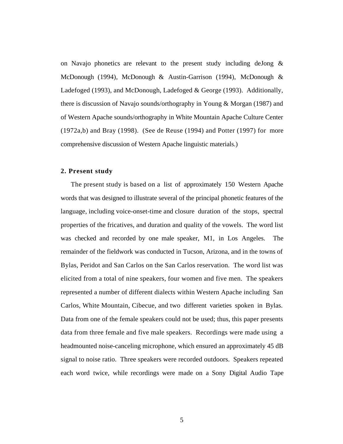on Navajo phonetics are relevant to the present study including deJong & McDonough (1994), McDonough & Austin-Garrison (1994), McDonough & Ladefoged (1993), and McDonough, Ladefoged & George (1993). Additionally, there is discussion of Navajo sounds/orthography in Young & Morgan (1987) and of Western Apache sounds/orthography in White Mountain Apache Culture Center (1972a,b) and Bray (1998). (See de Reuse (1994) and Potter (1997) for more comprehensive discussion of Western Apache linguistic materials.)

## **2. Present study**

The present study is based on a list of approximately 150 Western Apache words that was designed to illustrate several of the principal phonetic features of the language, including voice-onset-time and closure duration of the stops, spectral properties of the fricatives, and duration and quality of the vowels. The word list was checked and recorded by one male speaker, M1, in Los Angeles. The remainder of the fieldwork was conducted in Tucson, Arizona, and in the towns of Bylas, Peridot and San Carlos on the San Carlos reservation. The word list was elicited from a total of nine speakers, four women and five men. The speakers represented a number of different dialects within Western Apache including San Carlos, White Mountain, Cibecue, and two different varieties spoken in Bylas. Data from one of the female speakers could not be used; thus, this paper presents data from three female and five male speakers. Recordings were made using a headmounted noise-canceling microphone, which ensured an approximately 45 dB signal to noise ratio. Three speakers were recorded outdoors. Speakers repeated each word twice, while recordings were made on a Sony Digital Audio Tape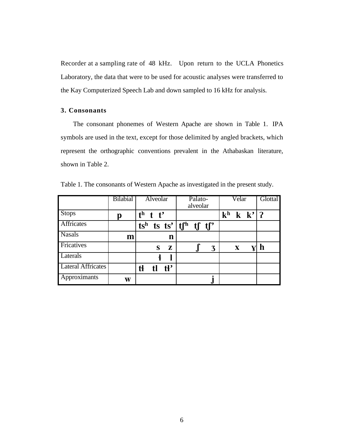Recorder at a sampling rate of 48 kHz. Upon return to the UCLA Phonetics Laboratory, the data that were to be used for acoustic analyses were transferred to the Kay Computerized Speech Lab and down sampled to 16 kHz for analysis.

### **3. Consonants**

The consonant phonemes of Western Apache are shown in Table 1. IPA symbols are used in the text, except for those delimited by angled brackets, which represent the orthographic conventions prevalent in the Athabaskan literature, shown in Table 2.

|                           | Bilabial | Alveolar                           | Palato-                                      | Velar                                    | Glottal |
|---------------------------|----------|------------------------------------|----------------------------------------------|------------------------------------------|---------|
|                           |          |                                    | alveolar                                     |                                          |         |
| <b>Stops</b>              | p        | $t^h$ t t'                         |                                              | ${\bf k}^{\bf h}$<br>$k \mathbf{k'}$   ? |         |
| Affricates                |          |                                    | $\overline{ts}^h$ is $ts'$   if $f'$ if $f'$ |                                          |         |
| <b>Nasals</b>             | m        | n                                  |                                              |                                          |         |
| Fricatives                |          | Z<br>S                             | 3                                            | $\mathbf X$                              | n       |
| Laterals                  |          |                                    |                                              |                                          |         |
| <b>Lateral Affricates</b> |          | $\mathbf{H}^{\bullet}$<br>tł<br>tl |                                              |                                          |         |
| Approximants              | W        |                                    |                                              |                                          |         |

Table 1. The consonants of Western Apache as investigated in the present study.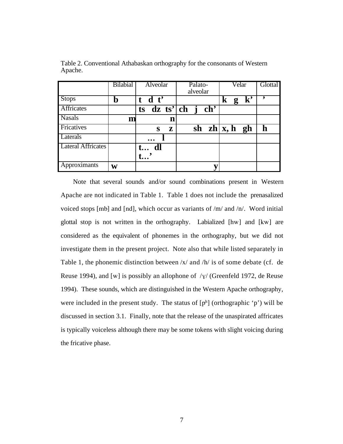|                           | <b>Bilabial</b> | Alveolar   | Palato-            | Velar                | Glottal |
|---------------------------|-----------------|------------|--------------------|----------------------|---------|
|                           |                 |            | alveolar           |                      |         |
| <b>Stops</b>              | n               | $t$ d $t'$ |                    | ${\bf k'}$<br>k<br>g |         |
| Affricates                |                 |            | ts dz ts' ch j ch' |                      |         |
| <b>Nasals</b>             | m               | n          |                    |                      |         |
| Fricatives                |                 | Z<br>S     |                    | sh $zh   x, h \ngh$  | h       |
| Laterals                  |                 |            |                    |                      |         |
| <b>Lateral Affricates</b> |                 | t dl       |                    |                      |         |
|                           |                 |            |                    |                      |         |
| Approximants              | W               |            |                    |                      |         |

Table 2. Conventional Athabaskan orthography for the consonants of Western Apache.

Note that several sounds and/or sound combinations present in Western Apache are not indicated in Table 1. Table 1 does not include the prenasalized voiced stops [mb] and [nd], which occur as variants of /m/ and /n/. Word initial glottal stop is not written in the orthography. Labialized [hw] and [kw] are considered as the equivalent of phonemes in the orthography, but we did not investigate them in the present project. Note also that while listed separately in Table 1, the phonemic distinction between /x/ and /h/ is of some debate (cf. de Reuse 1994), and [w] is possibly an allophone of  $/\gamma$ / (Greenfeld 1972, de Reuse 1994). These sounds, which are distinguished in the Western Apache orthography, were included in the present study. The status of  $[p^h]$  (orthographic 'p') will be discussed in section 3.1. Finally, note that the release of the unaspirated affricates is typically voiceless although there may be some tokens with slight voicing during the fricative phase.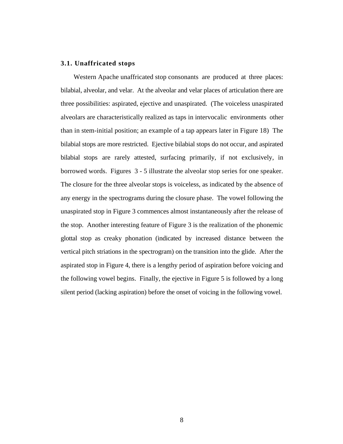# **3.1. Unaffricated stops**

Western Apache unaffricated stop consonants are produced at three places: bilabial, alveolar, and velar. At the alveolar and velar places of articulation there are three possibilities: aspirated, ejective and unaspirated. (The voiceless unaspirated alveolars are characteristically realized as taps in intervocalic environments other than in stem-initial position; an example of a tap appears later in Figure 18) The bilabial stops are more restricted. Ejective bilabial stops do not occur, and aspirated bilabial stops are rarely attested, surfacing primarily, if not exclusively, in borrowed words. Figures 3 - 5 illustrate the alveolar stop series for one speaker. The closure for the three alveolar stops is voiceless, as indicated by the absence of any energy in the spectrograms during the closure phase. The vowel following the unaspirated stop in Figure 3 commences almost instantaneously after the release of the stop. Another interesting feature of Figure 3 is the realization of the phonemic glottal stop as creaky phonation (indicated by increased distance between the vertical pitch striations in the spectrogram) on the transition into the glide. After the aspirated stop in Figure 4, there is a lengthy period of aspiration before voicing and the following vowel begins. Finally, the ejective in Figure 5 is followed by a long silent period (lacking aspiration) before the onset of voicing in the following vowel.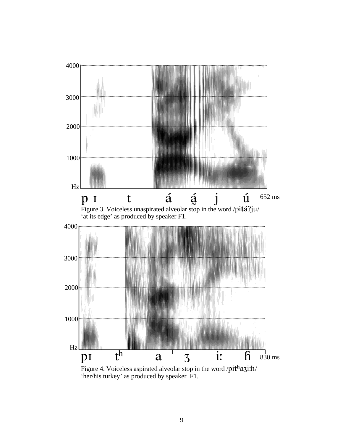

Figure 4. Voiceless aspirated alveolar stop in the word /pithazi:h/ 'her/his turkey' as produced by speaker F1.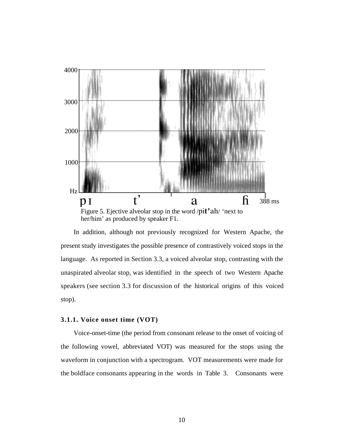

In addition, although not previously recognized for Western Apache, the present study investigates the possible presence of contrastively voiced stops in the language. As reported in Section 3.3, a voiced alveolar stop, contrasting with the unaspirated alveolar stop, was identified in the speech of two Western Apache speakers (see section 3.3 for discussion of the historical origins of this voiced stop).

### **3.1.1. Voice onset time (VOT)**

Voice-onset-time (the period from consonant release to the onset of voicing of the following vowel, abbreviated VOT) was measured for the stops using the waveform in conjunction with a spectrogram. VOT measurements were made for the boldface consonants appearing in the words in Table 3. Consonants were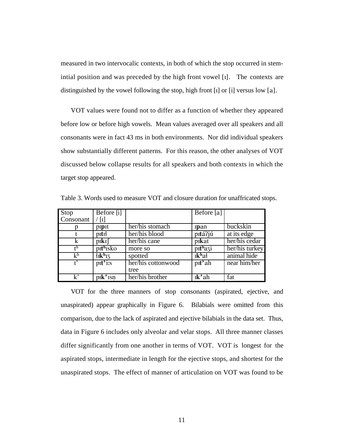measured in two intervocalic contexts, in both of which the stop occurred in stemintial position and was preceded by the high front vowel [I]. The contexts are distinguished by the vowel following the stop, high front [I] or [i] versus low [a].

VOT values were found not to differ as a function of whether they appeared before low or before high vowels. Mean values averaged over all speakers and all consonants were in fact 43 ms in both environments. Nor did individual speakers show substantially different patterns. For this reason, the other analyses of VOT discussed below collapse results for all speakers and both contexts in which the target stop appeared.

| Stop                 | Before [i]                        |                    | $\overline{\text{Before}}$ [a] |                |
|----------------------|-----------------------------------|--------------------|--------------------------------|----------------|
| Consonant            | $\lceil 1 \rceil$                 |                    |                                |                |
|                      | pipit                             | her/his stomach    | <i>s</i> pan                   | buckskin       |
|                      | pitit                             | her/his blood      | pitá?jú                        | at its edge    |
| k                    | $p$ <sub>I</sub> $k$ <sup>I</sup> | her/his cane       | pikat                          | her/his cedar  |
| $\mathsf{t}^{\rm h}$ | pithisko                          | more so            | pithazi                        | her/his turkey |
| k <sup>h</sup>       | $11k^h$ <sub>13</sub>             | spotted            | $ik^h$ ał                      | animal hide    |
|                      | pit'is                            | her/his cottonwood | p <sub>It</sub> 'ah            | near him/her   |
|                      |                                   | tree               |                                |                |
| k,                   | pik'isn                           | her/his brother    | $ik'$ ah                       | fat            |

Table 3. Words used to measure VOT and closure duration for unaffricated stops.

VOT for the three manners of stop consonants (aspirated, ejective, and unaspirated) appear graphically in Figure 6. Bilabials were omitted from this comparison, due to the lack of aspirated and ejective bilabials in the data set. Thus, data in Figure 6 includes only alveolar and velar stops. All three manner classes differ significantly from one another in terms of VOT. VOT is longest for the aspirated stops, intermediate in length for the ejective stops, and shortest for the unaspirated stops. The effect of manner of articulation on VOT was found to be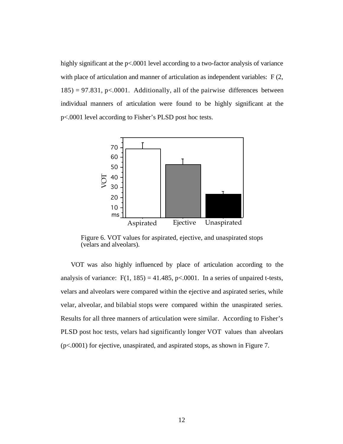highly significant at the p<.0001 level according to a two-factor analysis of variance with place of articulation and manner of articulation as independent variables: F(2,  $185$ ) = 97.831, p<.0001. Additionally, all of the pairwise differences between individual manners of articulation were found to be highly significant at the p<.0001 level according to Fisher's PLSD post hoc tests.



Figure 6. VOT values for aspirated, ejective, and unaspirated stops (velars and alveolars).

VOT was also highly influenced by place of articulation according to the analysis of variance:  $F(1, 185) = 41.485$ ,  $p< .0001$ . In a series of unpaired t-tests, velars and alveolars were compared within the ejective and aspirated series, while velar, alveolar, and bilabial stops were compared within the unaspirated series. Results for all three manners of articulation were similar. According to Fisher's PLSD post hoc tests, velars had significantly longer VOT values than alveolars (p<.0001) for ejective, unaspirated, and aspirated stops, as shown in Figure 7.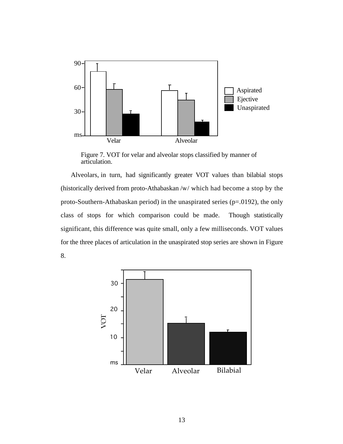

Figure 7. VOT for velar and alveolar stops classified by manner of articulation.

Alveolars, in turn, had significantly greater VOT values than bilabial stops (historically derived from proto-Athabaskan /w/ which had become a stop by the proto-Southern-Athabaskan period) in the unaspirated series (p=.0192), the only class of stops for which comparison could be made. Though statistically significant, this difference was quite small, only a few milliseconds. VOT values for the three places of articulation in the unaspirated stop series are shown in Figure 8.

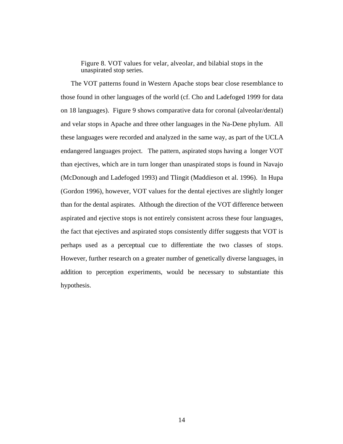Figure 8. VOT values for velar, alveolar, and bilabial stops in the unaspirated stop series.

The VOT patterns found in Western Apache stops bear close resemblance to those found in other languages of the world (cf. Cho and Ladefoged 1999 for data on 18 languages). Figure 9 shows comparative data for coronal (alveolar/dental) and velar stops in Apache and three other languages in the Na-Dene phylum. All these languages were recorded and analyzed in the same way, as part of the UCLA endangered languages project. The pattern, aspirated stops having a longer VOT than ejectives, which are in turn longer than unaspirated stops is found in Navajo (McDonough and Ladefoged 1993) and Tlingit (Maddieson et al. 1996). In Hupa (Gordon 1996), however, VOT values for the dental ejectives are slightly longer than for the dental aspirates. Although the direction of the VOT difference between aspirated and ejective stops is not entirely consistent across these four languages, the fact that ejectives and aspirated stops consistently differ suggests that VOT is perhaps used as a perceptual cue to differentiate the two classes of stops. However, further research on a greater number of genetically diverse languages, in addition to perception experiments, would be necessary to substantiate this hypothesis.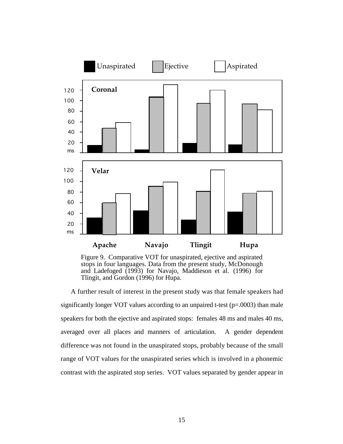

Figure 9. Comparative VOT for unaspirated, ejective and aspirated stops in four languages. Data from the present study, McDonough and Ladefoged (1993) for Navajo, Maddieson et al. (1996) for Tlingit, and Gordon (1996) for Hupa.

A further result of interest in the present study was that female speakers had significantly longer VOT values according to an unpaired t-test (p=.0003) than male speakers for both the ejective and aspirated stops: females 48 ms and males 40 ms, averaged over all places and manners of articulation. A gender dependent difference was not found in the unaspirated stops, probably because of the small range of VOT values for the unaspirated series which is involved in a phonemic contrast with the aspirated stop series. VOT values separated by gender appear in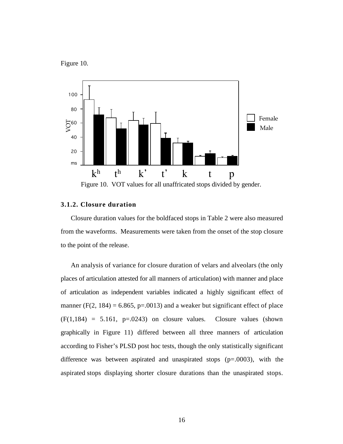Figure 10.



Figure 10. VOT values for all unaffricated stops divided by gender.

# **3.1.2. Closure duration**

Closure duration values for the boldfaced stops in Table 2 were also measured from the waveforms. Measurements were taken from the onset of the stop closure to the point of the release.

An analysis of variance for closure duration of velars and alveolars (the only places of articulation attested for all manners of articulation) with manner and place of articulation as independent variables indicated a highly significant effect of manner (F(2, 184) = 6.865, p=.0013) and a weaker but significant effect of place  $(F(1,184) = 5.161, p=.0243)$  on closure values. Closure values (shown graphically in Figure 11) differed between all three manners of articulation according to Fisher's PLSD post hoc tests, though the only statistically significant difference was between aspirated and unaspirated stops  $(p=.0003)$ , with the aspirated stops displaying shorter closure durations than the unaspirated stops.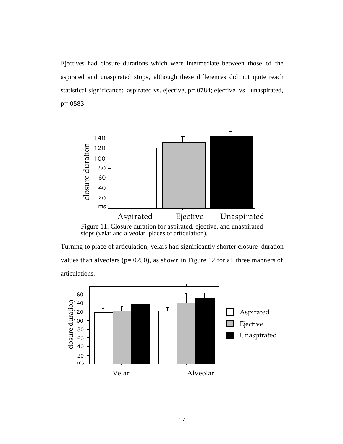Ejectives had closure durations which were intermediate between those of the aspirated and unaspirated stops, although these differences did not quite reach statistical significance: aspirated vs. ejective, p=.0784; ejective vs. unaspirated, p=.0583.



Figure 11. Closure duration for aspirated, ejective, and unaspirated stops (velar and alveolar places of articulation).

Turning to place of articulation, velars had significantly shorter closure duration values than alveolars (p=.0250), as shown in Figure 12 for all three manners of articulations.

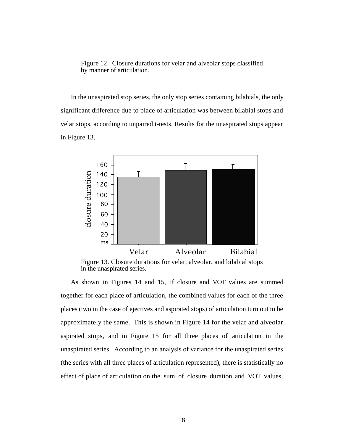Figure 12. Closure durations for velar and alveolar stops classified by manner of articulation.

In the unaspirated stop series, the only stop series containing bilabials, the only significant difference due to place of articulation was between bilabial stops and velar stops, according to unpaired t-tests. Results for the unaspirated stops appear in Figure 13.



Figure 13. Closure durations for velar, alveolar, and bilabial stops in the unaspirated series.

As shown in Figures 14 and 15, if closure and VOT values are summed together for each place of articulation, the combined values for each of the three places (two in the case of ejectives and aspirated stops) of articulation turn out to be approximately the same. This is shown in Figure 14 for the velar and alveolar aspirated stops, and in Figure 15 for all three places of articulation in the unaspirated series. According to an analysis of variance for the unaspirated series (the series with all three places of articulation represented), there is statistically no effect of place of articulation on the sum of closure duration and VOT values,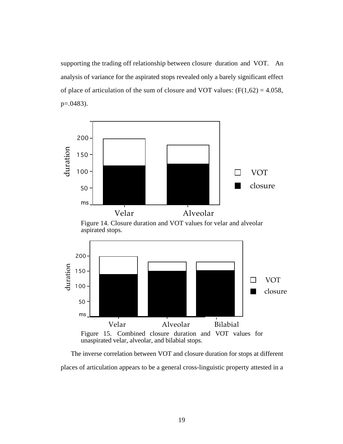supporting the trading off relationship between closure duration and VOT. An analysis of variance for the aspirated stops revealed only a barely significant effect of place of articulation of the sum of closure and VOT values:  $(F(1,62) = 4.058,$ p=.0483).



The inverse correlation between VOT and closure duration for stops at different places of articulation appears to be a general cross-linguistic property attested in a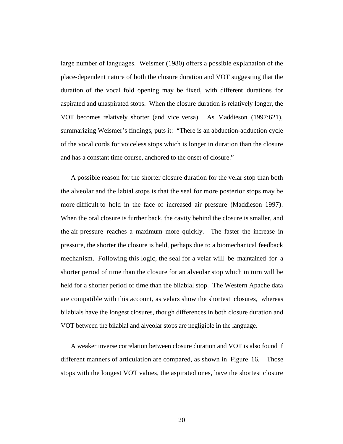large number of languages. Weismer (1980) offers a possible explanation of the place-dependent nature of both the closure duration and VOT suggesting that the duration of the vocal fold opening may be fixed, with different durations for aspirated and unaspirated stops. When the closure duration is relatively longer, the VOT becomes relatively shorter (and vice versa). As Maddieson (1997:621), summarizing Weismer's findings, puts it: "There is an abduction-adduction cycle of the vocal cords for voiceless stops which is longer in duration than the closure and has a constant time course, anchored to the onset of closure."

A possible reason for the shorter closure duration for the velar stop than both the alveolar and the labial stops is that the seal for more posterior stops may be more difficult to hold in the face of increased air pressure (Maddieson 1997). When the oral closure is further back, the cavity behind the closure is smaller, and the air pressure reaches a maximum more quickly. The faster the increase in pressure, the shorter the closure is held, perhaps due to a biomechanical feedback mechanism. Following this logic, the seal for a velar will be maintained for a shorter period of time than the closure for an alveolar stop which in turn will be held for a shorter period of time than the bilabial stop. The Western Apache data are compatible with this account, as velars show the shortest closures, whereas bilabials have the longest closures, though differences in both closure duration and VOT between the bilabial and alveolar stops are negligible in the language.

A weaker inverse correlation between closure duration and VOT is also found if different manners of articulation are compared, as shown in Figure 16. Those stops with the longest VOT values, the aspirated ones, have the shortest closure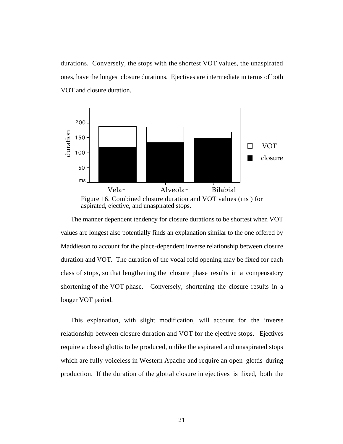durations. Conversely, the stops with the shortest VOT values, the unaspirated ones, have the longest closure durations. Ejectives are intermediate in terms of both VOT and closure duration.



The manner dependent tendency for closure durations to be shortest when VOT values are longest also potentially finds an explanation similar to the one offered by Maddieson to account for the place-dependent inverse relationship between closure duration and VOT. The duration of the vocal fold opening may be fixed for each class of stops, so that lengthening the closure phase results in a compensatory shortening of the VOT phase. Conversely, shortening the closure results in a longer VOT period.

This explanation, with slight modification, will account for the inverse relationship between closure duration and VOT for the ejective stops. Ejectives require a closed glottis to be produced, unlike the aspirated and unaspirated stops which are fully voiceless in Western Apache and require an open glottis during production. If the duration of the glottal closure in ejectives is fixed, both the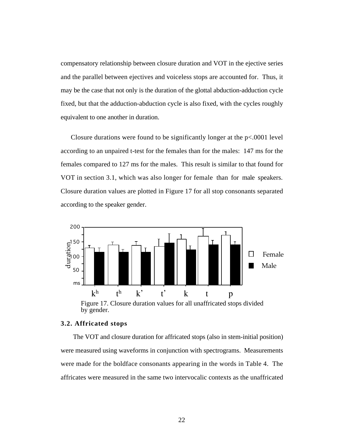compensatory relationship between closure duration and VOT in the ejective series and the parallel between ejectives and voiceless stops are accounted for. Thus, it may be the case that not only is the duration of the glottal abduction-adduction cycle fixed, but that the adduction-abduction cycle is also fixed, with the cycles roughly equivalent to one another in duration.

Closure durations were found to be significantly longer at the  $p<.0001$  level according to an unpaired t-test for the females than for the males: 147 ms for the females compared to 127 ms for the males. This result is similar to that found for VOT in section 3.1, which was also longer for female than for male speakers. Closure duration values are plotted in Figure 17 for all stop consonants separated according to the speaker gender.



Figure 17. Closure duration values for all unaffricated stops divided by gender.

## **3.2. Affricated stops**

The VOT and closure duration for affricated stops (also in stem-initial position) were measured using waveforms in conjunction with spectrograms. Measurements were made for the boldface consonants appearing in the words in Table 4. The affricates were measured in the same two intervocalic contexts as the unaffricated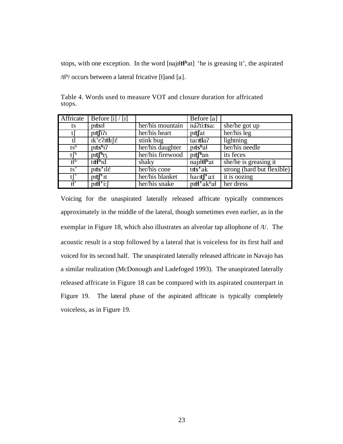stops, with one exception. In the word [naji**ltl<sup>h</sup>at**] 'he is greasing it', the aspirated / $t^{h}$  occurs between a lateral fricative [ $\{$ ]and [a].

| Affricate                     | Before $[i] / [i]$                 |                  | $\overline{\text{Before}}$ [a] |                            |
|-------------------------------|------------------------------------|------------------|--------------------------------|----------------------------|
| ts.                           | pitsi                              | her/his mountain | ná?ti:tsa:                     | she/he got up              |
| U                             | p <sub>It</sub> r <sub>71</sub>    | her/his heart    | pitfat                         | her/his leg                |
| tl                            | $ik$ ' $\epsilon$ ?Itli $\epsilon$ | stink bug        | tar <b>tla</b> ?               | lightning                  |
| $\mathfrak{t}$ s <sup>h</sup> | pits <sup>h</sup> 1?               | her/his daughter | pitshal                        | her/his needle             |
| $t \int$                      | $\text{pif}^{\text{th}}$ 13        | her/his firewood | pit <sup>h</sup> an            | its feces                  |
| $\mathfrak{t}^{\text{th}}$    | titt <sup>h</sup> id               | shaky            | najiltl <sup>h</sup> at        | she/he is greasing it      |
| $\overline{ts}$               | pits'ilé                           | her/his cone     | tits'ak                        | strong (hard but flexible) |
| tf'                           | $\text{pt} \int^{\cdot}$ It        | her/his blanket  | hart <sup>r</sup> at           | it is oozing               |
| $t^{\prime}$                  | $\overline{\text{ptt}}$ if         | her/his snake    | pitt <sup>3</sup> akhal        | her dress                  |

Table 4. Words used to measure VOT and closure duration for affricated stops.

Voicing for the unaspirated laterally released affricate typically commences approximately in the middle of the lateral, though sometimes even earlier, as in the exemplar in Figure 18, which also illustrates an alveolar tap allophone of /t/. The acoustic result is a stop followed by a lateral that is voiceless for its first half and voiced for its second half. The unaspirated laterally released affricate in Navajo has a similar realization (McDonough and Ladefoged 1993). The unaspirated laterally released affricate in Figure 18 can be compared with its aspirated counterpart in Figure 19. The lateral phase of the aspirated affricate is typically completely voiceless, as in Figure 19.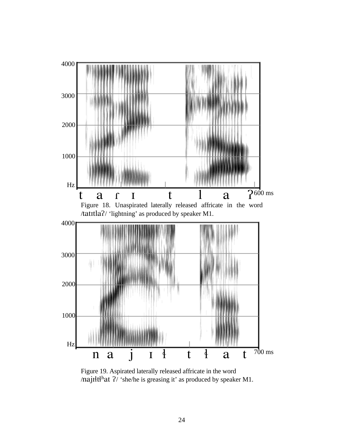

Figure 19. Aspirated laterally released affricate in the word /najIł $t$ ł<sup>h</sup>at  $?$ / 'she/he is greasing it' as produced by speaker M1.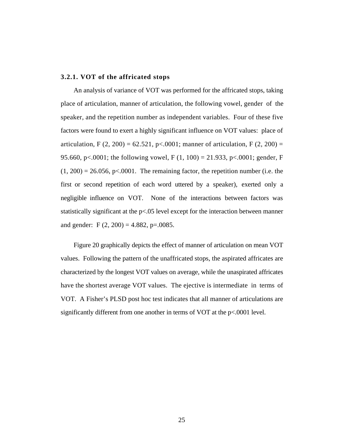### **3.2.1. VOT of the affricated stops**

An analysis of variance of VOT was performed for the affricated stops, taking place of articulation, manner of articulation, the following vowel, gender of the speaker, and the repetition number as independent variables. Four of these five factors were found to exert a highly significant influence on VOT values: place of articulation, F  $(2, 200) = 62.521$ , p<.0001; manner of articulation, F  $(2, 200) =$ 95.660, p<.0001; the following vowel, F  $(1, 100) = 21.933$ , p<.0001; gender, F  $(1, 200) = 26.056$ , p<.0001. The remaining factor, the repetition number (i.e. the first or second repetition of each word uttered by a speaker), exerted only a negligible influence on VOT. None of the interactions between factors was statistically significant at the p<.05 level except for the interaction between manner and gender: F  $(2, 200) = 4.882$ , p=.0085.

Figure 20 graphically depicts the effect of manner of articulation on mean VOT values. Following the pattern of the unaffricated stops, the aspirated affricates are characterized by the longest VOT values on average, while the unaspirated affricates have the shortest average VOT values. The ejective is intermediate in terms of VOT. A Fisher's PLSD post hoc test indicates that all manner of articulations are significantly different from one another in terms of VOT at the p<.0001 level.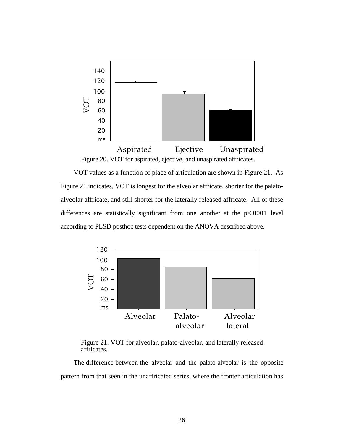

VOT values as a function of place of articulation are shown in Figure 21. As Figure 21 indicates, VOT is longest for the alveolar affricate, shorter for the palatoalveolar affricate, and still shorter for the laterally released affricate. All of these differences are statistically significant from one another at the p<.0001 level according to PLSD posthoc tests dependent on the ANOVA described above.



Figure 21. VOT for alveolar, palato-alveolar, and laterally released affricates.

The difference between the alveolar and the palato-alveolar is the opposite pattern from that seen in the unaffricated series, where the fronter articulation has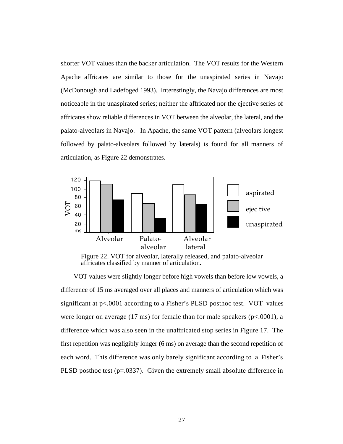shorter VOT values than the backer articulation. The VOT results for the Western Apache affricates are similar to those for the unaspirated series in Navajo (McDonough and Ladefoged 1993). Interestingly, the Navajo differences are most noticeable in the unaspirated series; neither the affricated nor the ejective series of affricates show reliable differences in VOT between the alveolar, the lateral, and the palato-alveolars in Navajo. In Apache, the same VOT pattern (alveolars longest followed by palato-alveolars followed by laterals) is found for all manners of articulation, as Figure 22 demonstrates.



Figure 22. VOT for alveolar, laterally released, and palato-alveolar affricates classified by manner of articulation.

VOT values were slightly longer before high vowels than before low vowels, a difference of 15 ms averaged over all places and manners of articulation which was significant at p<.0001 according to a Fisher's PLSD posthoc test. VOT values were longer on average (17 ms) for female than for male speakers ( $p<.0001$ ), a difference which was also seen in the unaffricated stop series in Figure 17. The first repetition was negligibly longer (6 ms) on average than the second repetition of each word. This difference was only barely significant according to a Fisher's PLSD posthoc test (p=.0337). Given the extremely small absolute difference in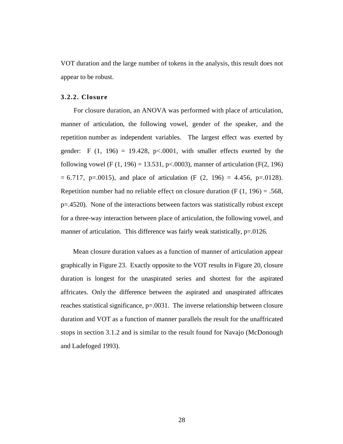VOT duration and the large number of tokens in the analysis, this result does not appear to be robust.

### **3.2.2. Closure**

For closure duration, an ANOVA was performed with place of articulation, manner of articulation, the following vowel, gender of the speaker, and the repetition number as independent variables. The largest effect was exerted by gender: F  $(1, 196) = 19.428$ , p<.0001, with smaller effects exerted by the following vowel (F  $(1, 196) = 13.531$ , p<.0003), manner of articulation (F $(2, 196)$ )  $= 6.717$ , p=.0015), and place of articulation (F  $(2, 196) = 4.456$ , p=.0128). Repetition number had no reliable effect on closure duration  $(F (1, 196) = .568,$ p=.4520). None of the interactions between factors was statistically robust except for a three-way interaction between place of articulation, the following vowel, and manner of articulation. This difference was fairly weak statistically, p=.0126.

Mean closure duration values as a function of manner of articulation appear graphically in Figure 23. Exactly opposite to the VOT results in Figure 20, closure duration is longest for the unaspirated series and shortest for the aspirated affricates. Only the difference between the aspirated and unaspirated affricates reaches statistical significance, p=.0031. The inverse relationship between closure duration and VOT as a function of manner parallels the result for the unaffricated stops in section 3.1.2 and is similar to the result found for Navajo (McDonough and Ladefoged 1993).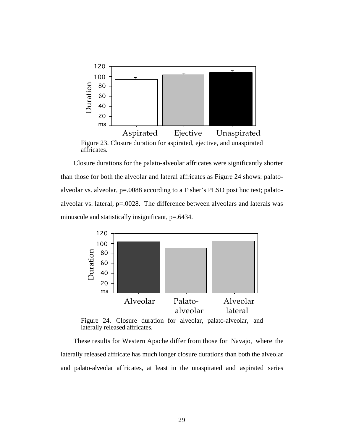

Figure 23. Closure duration for aspirated, ejective, and unaspirated affricates.

Closure durations for the palato-alveolar affricates were significantly shorter than those for both the alveolar and lateral affricates as Figure 24 shows: palatoalveolar vs. alveolar, p=.0088 according to a Fisher's PLSD post hoc test; palatoalveolar vs. lateral, p=.0028. The difference between alveolars and laterals was minuscule and statistically insignificant,  $p=0.6434$ .



Figure 24. Closure duration for alveolar, palato-alveolar, and laterally released affricates.

These results for Western Apache differ from those for Navajo, where the laterally released affricate has much longer closure durations than both the alveolar and palato-alveolar affricates, at least in the unaspirated and aspirated series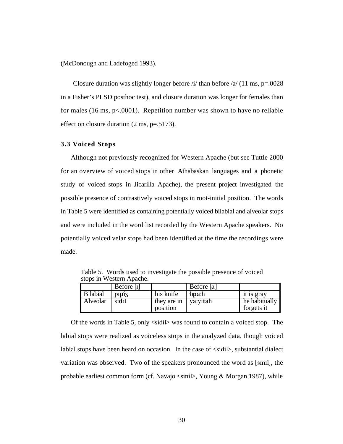(McDonough and Ladefoged 1993).

Closure duration was slightly longer before  $\pi$  /i/ than before  $\pi$  (11 ms, p=.0028) in a Fisher's PLSD posthoc test), and closure duration was longer for females than for males (16 ms,  $p<.0001$ ). Repetition number was shown to have no reliable effect on closure duration (2 ms, p=.5173).

#### **3.3 Voiced Stops**

Although not previously recognized for Western Apache (but see Tuttle 2000 for an overview of voiced stops in other Athabaskan languages and a phonetic study of voiced stops in Jicarilla Apache), the present project investigated the possible presence of contrastively voiced stops in root-initial position. The words in Table 5 were identified as containing potentially voiced bilabial and alveolar stops and were included in the word list recorded by the Western Apache speakers. No potentially voiced velar stops had been identified at the time the recordings were made.

|                 | Before $[i]$ |                                  | Before [a]    |                             |
|-----------------|--------------|----------------------------------|---------------|-----------------------------|
| <b>Bilabial</b> | $\text{p}$   | his knife                        | $\n  Im an\n$ | it is gray                  |
| Alveolar        | sidil        | they are in vary tah<br>position |               | he habitually<br>forgets it |

Table 5. Words used to investigate the possible presence of voiced stops in Western Apache.

Of the words in Table 5, only <sidil> was found to contain a voiced stop. The labial stops were realized as voiceless stops in the analyzed data, though voiced labial stops have been heard on occasion. In the case of  $\langle$ sidil $\rangle$ , substantial dialect variation was observed. Two of the speakers pronounced the word as [sInIl], the probable earliest common form (cf. Navajo <sinil>, Young & Morgan 1987), while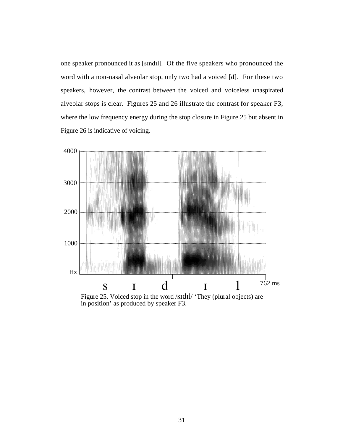one speaker pronounced it as [sIndIl]. Of the five speakers who pronounced the word with a non-nasal alveolar stop, only two had a voiced [d]. For these two speakers, however, the contrast between the voiced and voiceless unaspirated alveolar stops is clear. Figures 25 and 26 illustrate the contrast for speaker F3, where the low frequency energy during the stop closure in Figure 25 but absent in Figure 26 is indicative of voicing.



Figure 25. Voiced stop in the word /sIdIl/ 'They (plural objects) are in position' as produced by speaker F3.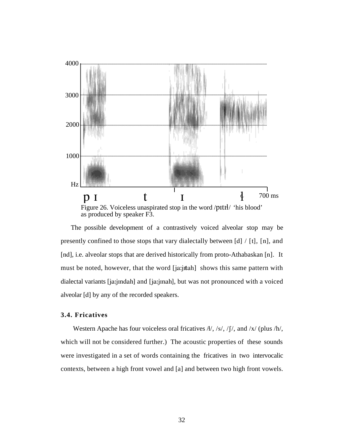

Figure 26. Voiceless unaspirated stop in the word /pItIl/ 'his blood' as produced by speaker F3.

The possible development of a contrastively voiced alveolar stop may be presently confined to those stops that vary dialectally between [d] / [t], [n], and [nd], i.e. alveolar stops that are derived historically from proto-Athabaskan [n]. It must be noted, however, that the word [ja:jitah] shows this same pattern with dialectal variants [ja:jindah] and [ja:jinah], but was not pronounced with a voiced alveolar [d] by any of the recorded speakers.

# **3.4. Fricatives**

Western Apache has four voiceless oral fricatives  $\frac{A}{y}$ ,  $\frac{s}{y}$ ,  $\frac{f}{y}$ , and  $\frac{x}{q}$  (plus  $/h/$ , which will not be considered further.) The acoustic properties of these sounds were investigated in a set of words containing the fricatives in two intervocalic contexts, between a high front vowel and [a] and between two high front vowels.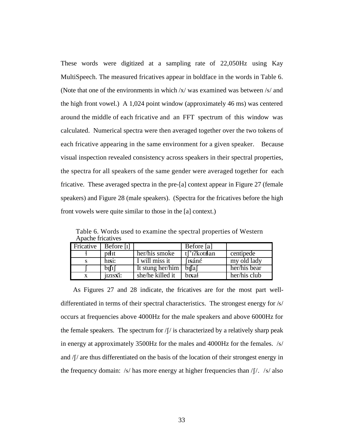These words were digitized at a sampling rate of 22,050Hz using Kay MultiSpeech. The measured fricatives appear in boldface in the words in Table 6. (Note that one of the environments in which  $x$  was examined was between /s/ and the high front vowel.) A 1,024 point window (approximately 46 ms) was centered around the middle of each fricative and an FFT spectrum of this window was calculated. Numerical spectra were then averaged together over the two tokens of each fricative appearing in the same environment for a given speaker. Because visual inspection revealed consistency across speakers in their spectral properties, the spectra for all speakers of the same gender were averaged together for each fricative. These averaged spectra in the pre-[a] context appear in Figure 27 (female speakers) and Figure 28 (male speakers). (Spectra for the fricatives before the high front vowels were quite similar to those in the [a] context.)

Table 6. Words used to examine the spectral properties of Western Apache fricatives

| Fricative | Before [1] |                  | Before [a]     |              |
|-----------|------------|------------------|----------------|--------------|
|           | prit       | her/his smoke    | tf'i?kotrlan   | centipede    |
|           | hisi:      | I will miss it   | <i>s</i> isáné | my old lady  |
|           | bili       | It stung her/him | bifal          | her/his bear |
|           | jizisxi:   | she/he killed it | bixal          | her/his club |

As Figures 27 and 28 indicate, the fricatives are for the most part welldifferentiated in terms of their spectral characteristics. The strongest energy for /s/ occurs at frequencies above 4000Hz for the male speakers and above 6000Hz for the female speakers. The spectrum for  $/f/$  is characterized by a relatively sharp peak in energy at approximately 3500Hz for the males and 4000Hz for the females. /s/ and  $\int$ / $\int$  are thus differentiated on the basis of the location of their strongest energy in the frequency domain:  $/s/$  has more energy at higher frequencies than  $/f/$ .  $/s/$  also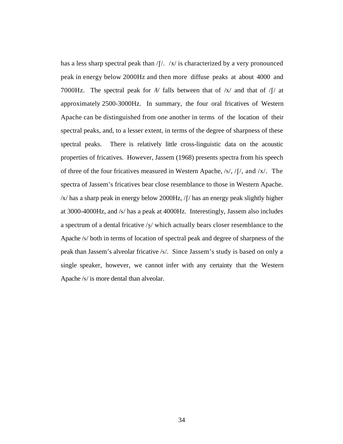has a less sharp spectral peak than  $/[ / / / x / x]$  is characterized by a very pronounced peak in energy below 2000Hz and then more diffuse peaks at about 4000 and 7000Hz. The spectral peak for  $A/$  falls between that of  $\frac{X}{a}$  and that of  $\frac{X}{a}$  at approximately 2500-3000Hz. In summary, the four oral fricatives of Western Apache can be distinguished from one another in terms of the location of their spectral peaks, and, to a lesser extent, in terms of the degree of sharpness of these spectral peaks. There is relatively little cross-linguistic data on the acoustic properties of fricatives. However, Jassem (1968) presents spectra from his speech of three of the four fricatives measured in Western Apache,  $/s/$ ,  $/$ [ $/$ , and  $/x/$ . The spectra of Jassem's fricatives bear close resemblance to those in Western Apache.  $\frac{x}{x}$  has a sharp peak in energy below 2000Hz,  $\frac{f}{\lambda}$  has an energy peak slightly higher at 3000-4000Hz, and /s/ has a peak at 4000Hz. Interestingly, Jassem also includes a spectrum of a dental fricative  $\sqrt{s}$  which actually bears closer resemblance to the Apache /s/ both in terms of location of spectral peak and degree of sharpness of the peak than Jassem's alveolar fricative /s/. Since Jassem's study is based on only a single speaker, however, we cannot infer with any certainty that the Western Apache /s/ is more dental than alveolar.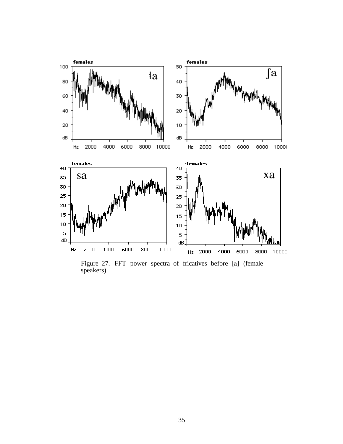

Figure 27. FFT power spectra of fricatives before [a] (female speakers)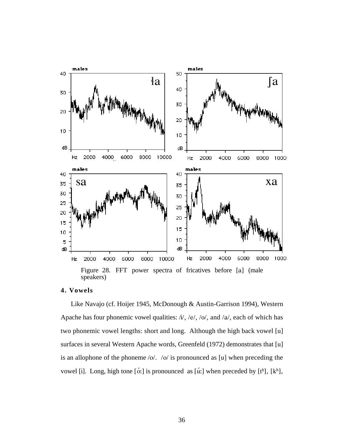

## **4. Vowels**

Like Navajo (cf. Hoijer 1945, McDonough & Austin-Garrison 1994), Western Apache has four phonemic vowel qualities:  $\hbar$ ,  $\hbar$ ,  $\hbar$ ,  $\hbar$ ,  $\hbar$ ,  $\hbar$ ,  $\hbar$ ,  $\hbar$ ,  $\hbar$ ,  $\hbar$ ,  $\hbar$ ,  $\hbar$ ,  $\hbar$ two phonemic vowel lengths: short and long. Although the high back vowel [u] surfaces in several Western Apache words, Greenfeld (1972) demonstrates that [u] is an allophone of the phoneme /o/. /o/ is pronounced as [u] when preceding the vowel [i]. Long, high tone [ó:] is pronounced as [ú:] when preceded by [t<sup>h</sup>], [k<sup>h</sup>],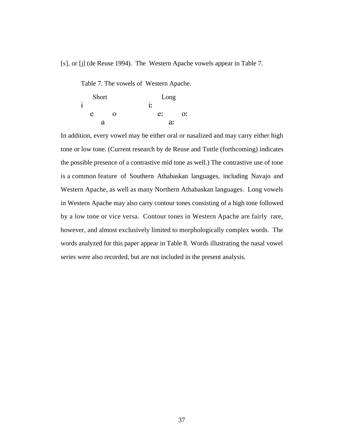[s], or [j] (de Reuse 1994). The Western Apache vowels appear in Table 7.

Table 7. The vowels of Western Apache.

|   | Short |   | Long |    |
|---|-------|---|------|----|
| i |       |   | i:   |    |
|   | e     | 0 | e:   | Эï |
|   |       | я | a!   |    |

In addition, every vowel may be either oral or nasalized and may carry either high tone or low tone. (Current research by de Reuse and Tuttle (forthcoming) indicates the possible presence of a contrastive mid tone as well.) The contrastive use of tone is a common feature of Southern Athabaskan languages, including Navajo and Western Apache, as well as many Northern Athabaskan languages. Long vowels in Western Apache may also carry contour tones consisting of a high tone followed by a low tone or vice versa. Contour tones in Western Apache are fairly rare, however, and almost exclusively limited to morphologically complex words. The words analyzed for this paper appear in Table 8. Words illustrating the nasal vowel series were also recorded, but are not included in the present analysis.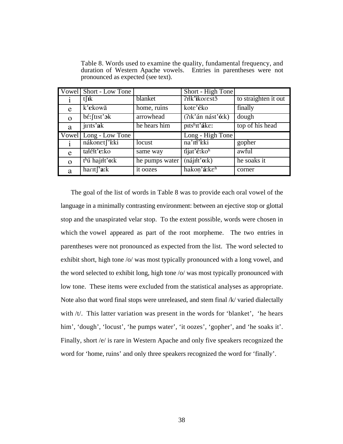|              | Vowel Short - Low Tone                        |                | Short - High Tone              |                      |
|--------------|-----------------------------------------------|----------------|--------------------------------|----------------------|
|              | $t$ [ $\mathbf{k}$                            | blanket        | ?rłk'ikorest5                  | to straighten it out |
| e            | k'ekowã                                       | home, ruins    | kote'éko                       | finally              |
| $\Omega$     | $b \notin$ : [tɪst' $\mathfrak{z}$ k]         | arrowhead      | (Rik'án nást'ó:k)              | dough                |
| a            | jirits'ak                                     | he hears him   | pits <sup>h</sup> it'áke:      | top of his head      |
| Vowel        | Long - Low Tone                               |                | Long - High Tone               |                      |
| <sup>i</sup> | nákonet['i:ki                                 | locust         | na' <sup>It</sup> iki          | gopher               |
|              |                                               |                |                                |                      |
| e            | tałéłt'e:ko                                   | same way       | tijat'é:koh                    | awful                |
| $\Omega$     | t <sup>h</sup> ú hajiłt'o:k<br>$harct$ a: $k$ | he pumps water | $(n$ ájiłt'oːk)<br>hakon'á:keh | he soaks it          |

Table 8. Words used to examine the quality, fundamental frequency, and duration of Western Apache vowels. Entries in parentheses were not pronounced as expected (see text).

The goal of the list of words in Table 8 was to provide each oral vowel of the language in a minimally contrasting environment: between an ejective stop or glottal stop and the unaspirated velar stop. To the extent possible, words were chosen in which the vowel appeared as part of the root morpheme. The two entries in parentheses were not pronounced as expected from the list. The word selected to exhibit short, high tone /o/ was most typically pronounced with a long vowel, and the word selected to exhibit long, high tone /o/ was most typically pronounced with low tone. These items were excluded from the statistical analyses as appropriate. Note also that word final stops were unreleased, and stem final /k/ varied dialectally with /t/. This latter variation was present in the words for 'blanket', 'he hears him', 'dough', 'locust', 'he pumps water', 'it oozes', 'gopher', and 'he soaks it'. Finally, short /e/ is rare in Western Apache and only five speakers recognized the word for 'home, ruins' and only three speakers recognized the word for 'finally'.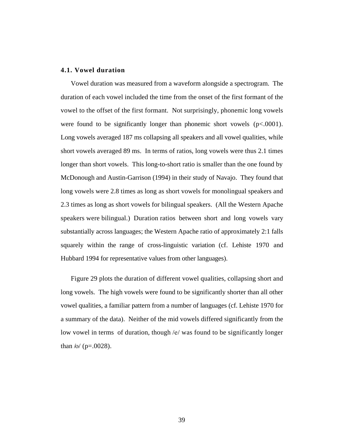### **4.1. Vowel duration**

Vowel duration was measured from a waveform alongside a spectrogram. The duration of each vowel included the time from the onset of the first formant of the vowel to the offset of the first formant. Not surprisingly, phonemic long vowels were found to be significantly longer than phonemic short vowels  $(p<.0001)$ . Long vowels averaged 187 ms collapsing all speakers and all vowel qualities, while short vowels averaged 89 ms. In terms of ratios, long vowels were thus 2.1 times longer than short vowels. This long-to-short ratio is smaller than the one found by McDonough and Austin-Garrison (1994) in their study of Navajo. They found that long vowels were 2.8 times as long as short vowels for monolingual speakers and 2.3 times as long as short vowels for bilingual speakers. (All the Western Apache speakers were bilingual.) Duration ratios between short and long vowels vary substantially across languages; the Western Apache ratio of approximately 2:1 falls squarely within the range of cross-linguistic variation (cf. Lehiste 1970 and Hubbard 1994 for representative values from other languages).

Figure 29 plots the duration of different vowel qualities, collapsing short and long vowels. The high vowels were found to be significantly shorter than all other vowel qualities, a familiar pattern from a number of languages (cf. Lehiste 1970 for a summary of the data). Neither of the mid vowels differed significantly from the low vowel in terms of duration, though /e/ was found to be significantly longer than  $\frac{\log p}{p} = .0028$ .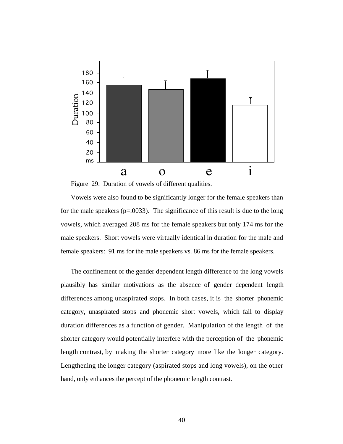



Vowels were also found to be significantly longer for the female speakers than for the male speakers ( $p = .0033$ ). The significance of this result is due to the long vowels, which averaged 208 ms for the female speakers but only 174 ms for the male speakers. Short vowels were virtually identical in duration for the male and female speakers: 91 ms for the male speakers vs. 86 ms for the female speakers.

The confinement of the gender dependent length difference to the long vowels plausibly has similar motivations as the absence of gender dependent length differences among unaspirated stops. In both cases, it is the shorter phonemic category, unaspirated stops and phonemic short vowels, which fail to display duration differences as a function of gender. Manipulation of the length of the shorter category would potentially interfere with the perception of the phonemic length contrast, by making the shorter category more like the longer category. Lengthening the longer category (aspirated stops and long vowels), on the other hand, only enhances the percept of the phonemic length contrast.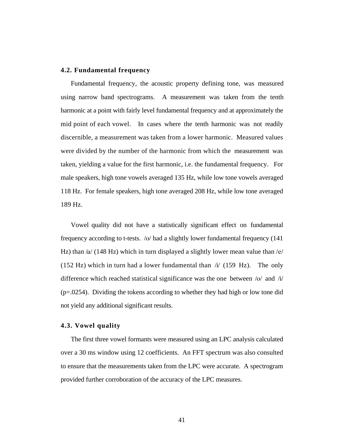#### **4.2. Fundamental frequency**

Fundamental frequency, the acoustic property defining tone, was measured using narrow band spectrograms. A measurement was taken from the tenth harmonic at a point with fairly level fundamental frequency and at approximately the mid point of each vowel. In cases where the tenth harmonic was not readily discernible, a measurement was taken from a lower harmonic. Measured values were divided by the number of the harmonic from which the measurement was taken, yielding a value for the first harmonic, i.e. the fundamental frequency. For male speakers, high tone vowels averaged 135 Hz, while low tone vowels averaged 118 Hz. For female speakers, high tone averaged 208 Hz, while low tone averaged 189 Hz.

Vowel quality did not have a statistically significant effect on fundamental frequency according to t-tests. /o/ had a slightly lower fundamental frequency (141 Hz) than  $\alpha$  (148 Hz) which in turn displayed a slightly lower mean value than  $\alpha$ (152 Hz) which in turn had a lower fundamental than  $\dot{\mu}$  (159 Hz). The only difference which reached statistical significance was the one between /o/ and /i/ (p=.0254). Dividing the tokens according to whether they had high or low tone did not yield any additional significant results.

### **4.3. Vowel quality**

The first three vowel formants were measured using an LPC analysis calculated over a 30 ms window using 12 coefficients. An FFT spectrum was also consulted to ensure that the measurements taken from the LPC were accurate. A spectrogram provided further corroboration of the accuracy of the LPC measures.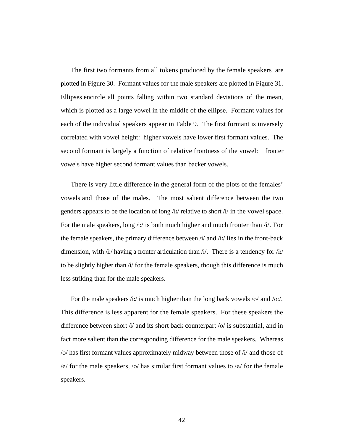The first two formants from all tokens produced by the female speakers are plotted in Figure 30. Formant values for the male speakers are plotted in Figure 31. Ellipses encircle all points falling within two standard deviations of the mean, which is plotted as a large vowel in the middle of the ellipse. Formant values for each of the individual speakers appear in Table 9. The first formant is inversely correlated with vowel height: higher vowels have lower first formant values. The second formant is largely a function of relative frontness of the vowel: fronter vowels have higher second formant values than backer vowels.

There is very little difference in the general form of the plots of the females' vowels and those of the males. The most salient difference between the two genders appears to be the location of long /ii/ relative to short /i/ in the vowel space. For the male speakers, long  $\pi/2$  is both much higher and much fronter than  $\pi/2$ . For the female speakers, the primary difference between  $\pi/$  and  $\pi/$  lies in the front-back dimension, with /iː/ having a fronter articulation than /i/. There is a tendency for /iː/ to be slightly higher than /i/ for the female speakers, though this difference is much less striking than for the male speakers.

For the male speakers /iː/ is much higher than the long back vowels /o/ and /oː/. This difference is less apparent for the female speakers. For these speakers the difference between short  $\lambda i$  and its short back counterpart /o/ is substantial, and in fact more salient than the corresponding difference for the male speakers. Whereas /o/ has first formant values approximately midway between those of /i/ and those of /e/ for the male speakers, /o/ has similar first formant values to /e/ for the female speakers.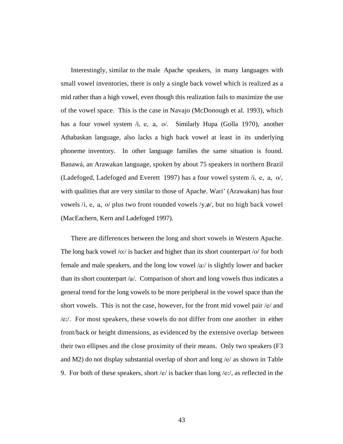Interestingly, similar to the male Apache speakers, in many languages with small vowel inventories, there is only a single back vowel which is realized as a mid rather than a high vowel, even though this realization fails to maximize the use of the vowel space. This is the case in Navajo (McDonough et al. 1993), which has a four vowel system /i, e, a, o/. Similarly Hupa (Golla 1970), another Athabaskan language, also lacks a high back vowel at least in its underlying phoneme inventory. In other language families the same situation is found. Banawá, an Arawakan language, spoken by about 75 speakers in northern Brazil (Ladefoged, Ladefoged and Everett 1997) has a four vowel system /i, e, a, o/, with qualities that are very similar to those of Apache. Wari' (Arawakan) has four vowels /i, e, a, o/ plus two front rounded vowels  $/y, \phi/$ , but no high back vowel (MacEachern, Kern and Ladefoged 1997).

There are differences between the long and short vowels in Western Apache. The long back vowel  $\frac{1}{2}$  is backer and higher than its short counterpart  $\frac{1}{2}$  for both female and male speakers, and the long low vowel /a…/ is slightly lower and backer than its short counterpart /a/. Comparison of short and long vowels thus indicates a general trend for the long vowels to be more peripheral in the vowel space than the short vowels. This is not the case, however, for the front mid vowel pair /e/ and /e…/. For most speakers, these vowels do not differ from one another in either front/back or height dimensions, as evidenced by the extensive overlap between their two ellipses and the close proximity of their means. Only two speakers (F3 and M2) do not display substantial overlap of short and long /e/ as shown in Table 9. For both of these speakers, short  $/e/$  is backer than long  $/e$ . as reflected in the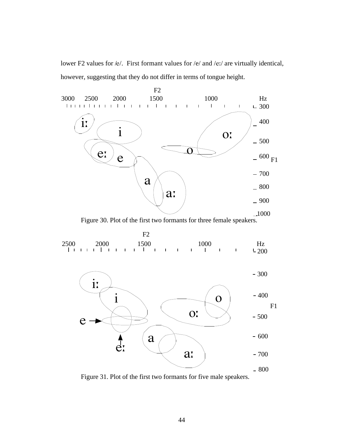lower F2 values for /e/. First formant values for /e/ and /eː/ are virtually identical, however, suggesting that they do not differ in terms of tongue height.



Figure 31. Plot of the first two formants for five male speakers.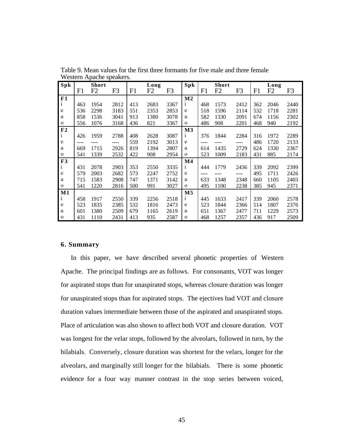| Spk            |     | <b>Short</b> |                |     | Long |      | Spk            |     | <b>Short</b> |      |     | Long |                |
|----------------|-----|--------------|----------------|-----|------|------|----------------|-----|--------------|------|-----|------|----------------|
|                | F1  | F2           | F <sub>3</sub> | F1  | F2   | F3   |                | F1  | F2           | F3   | F1  | F2   | F <sub>3</sub> |
| F1             |     |              |                |     |      |      | $\bf M2$       |     |              |      |     |      |                |
| $\mathbf{i}$   | 463 | 1954         | 2812           | 413 | 2683 | 3367 | 1              | 468 | 1573         | 2412 | 362 | 2046 | 2440           |
| e              | 536 | 2298         | 3183           | 551 | 2353 | 2853 | e              | 518 | 1596         | 2114 | 532 | 1718 | 2281           |
| a              | 858 | 1536         | 3041           | 913 | 1380 | 3078 | a              | 582 | 1330         | 2091 | 674 | 1156 | 2302           |
| $\mathbf 0$    | 556 | 1076         | 3168           | 436 | 821  | 3367 | $\mathbf{O}$   | 486 | 908          | 2201 | 468 | 940  | 2192           |
| F <sub>2</sub> |     |              |                |     |      |      | M <sub>3</sub> |     |              |      |     |      |                |
| $\mathbf{i}$   | 426 | 1959         | 2788           | 408 | 2628 | 3087 | $\mathbf{1}$   | 376 | 1844         | 2284 | 316 | 1972 | 2289           |
| e              |     |              | ----           | 559 | 2192 | 3013 | e              |     |              | ---- | 486 | 1720 | 2133           |
| a              | 669 | 1715         | 2926           | 819 | 1394 | 2807 | a              | 614 | 1435         | 2729 | 624 | 1330 | 2367           |
| $\mathbf{o}$   | 541 | 1339         | 2532           | 422 | 908  | 2954 | $\mathbf{O}$   | 523 | 1009         | 2183 | 431 | 885  | 2174           |
| F3             |     |              |                |     |      |      | $\bf M4$       |     |              |      |     |      |                |
| $\mathbf{i}$   | 431 | 2078         | 2903           | 353 | 2550 | 3335 | $\mathbf{i}$   | 444 | 1779         | 2436 | 339 | 2092 | 2399           |
| e              | 579 | 2003         | 2682           | 573 | 2247 | 2752 | e              |     |              | ---- | 495 | 1711 | 2426           |
| a              | 715 | 1583         | 2908           | 747 | 1371 | 3142 | a              | 633 | 1348         | 2348 | 660 | 1105 | 2403           |
| $\mathbf{o}$   | 541 | 1220         | 2816           | 500 | 991  | 3027 | $\mathbf{o}$   | 495 | 1100         | 2238 | 385 | 945  | 2371           |
| $\mathbf{M1}$  |     |              |                |     |      |      | M <sub>5</sub> |     |              |      |     |      |                |
| $\mathbf{i}$   | 458 | 1917         | 2550           | 339 | 2256 | 2518 | $\mathbf{1}$   | 445 | 1633         | 2417 | 339 | 2060 | 2578           |
| e              | 523 | 1835         | 2385           | 532 | 1816 | 2473 | e              | 523 | 1844         | 2366 | 514 | 1807 | 2376           |
| a              | 601 | 1380         | 2509           | 679 | 1165 | 2619 | a              | 651 | 1367         | 2477 | 711 | 1229 | 2573           |
| $\mathbf{o}$   | 431 | 1110         | 2431           | 413 | 935  | 2587 | $\mathbf{O}$   | 468 | 1257         | 2357 | 436 | 917  | 2509           |

Table 9. Mean values for the first three formants for five male and three female Western Apache speakers.

### **6. Summary**

In this paper, we have described several phonetic properties of Western Apache. The principal findings are as follows. For consonants, VOT was longer for aspirated stops than for unaspirated stops, whereas closure duration was longer for unaspirated stops than for aspirated stops. The ejectives had VOT and closure duration values intermediate between those of the aspirated and unaspirated stops. Place of articulation was also shown to affect both VOT and closure duration. VOT was longest for the velar stops, followed by the alveolars, followed in turn, by the bilabials. Conversely, closure duration was shortest for the velars, longer for the alveolars, and marginally still longer for the bilabials. There is some phonetic evidence for a four way manner contrast in the stop series between voiced,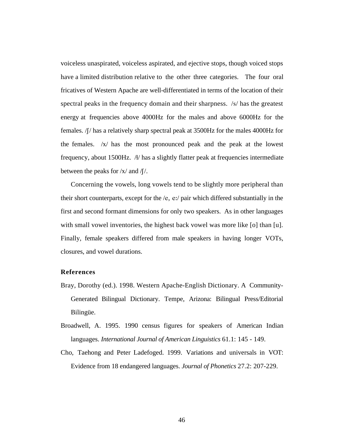voiceless unaspirated, voiceless aspirated, and ejective stops, though voiced stops have a limited distribution relative to the other three categories. The four oral fricatives of Western Apache are well-differentiated in terms of the location of their spectral peaks in the frequency domain and their sharpness. /s/ has the greatest energy at frequencies above 4000Hz for the males and above 6000Hz for the females.  $/$ [ $/$  has a relatively sharp spectral peak at 3500Hz for the males 4000Hz for the females.  $\frac{1}{x}$  has the most pronounced peak and the peak at the lowest frequency, about 1500Hz.  $\mathcal{H}$  has a slightly flatter peak at frequencies intermediate between the peaks for  $\frac{x}{a}$  and  $\frac{f}{a}$ .

Concerning the vowels, long vowels tend to be slightly more peripheral than their short counterparts, except for the  $/e$ , e.  $\frac{e}{e}$  pair which differed substantially in the first and second formant dimensions for only two speakers. As in other languages with small vowel inventories, the highest back vowel was more like [o] than [u]. Finally, female speakers differed from male speakers in having longer VOTs, closures, and vowel durations.

#### **References**

- Bray, Dorothy (ed.). 1998. Western Apache-English Dictionary. A Community-Generated Bilingual Dictionary. Tempe, Arizona: Bilingual Press/Editorial Bilingüe.
- Broadwell, A. 1995. 1990 census figures for speakers of American Indian languages. *International Journal of American Linguistics* 61.1: 145 - 149.
- Cho, Taehong and Peter Ladefoged. 1999. Variations and universals in VOT: Evidence from 18 endangered languages. *Journal of Phonetics* 27.2: 207-229.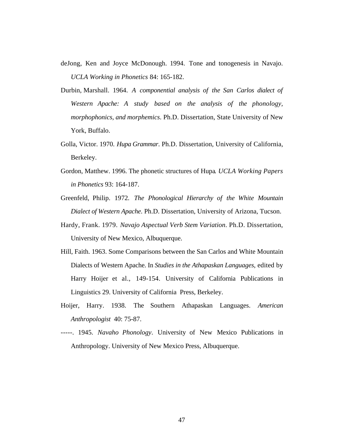- deJong, Ken and Joyce McDonough. 1994. Tone and tonogenesis in Navajo. *UCLA Working in Phonetics* 84: 165-182.
- Durbin, Marshall. 1964. *A componential analysis of the San Carlos dialect of Western Apache: A study based on the analysis of the phonology, morphophonics, and morphemics*. Ph.D. Dissertation, State University of New York, Buffalo.
- Golla, Victor. 1970. *Hupa Grammar*. Ph.D. Dissertation, University of California, Berkeley.
- Gordon, Matthew. 1996. The phonetic structures of Hupa*. UCLA Working Papers in Phonetics* 93: 164-187.
- Greenfeld, Philip. 1972*. The Phonological Hierarchy of the White Mountain Dialect of Western Apache*. Ph.D. Dissertation, University of Arizona, Tucson.
- Hardy, Frank. 1979. *Navajo Aspectual Verb Stem Variation*. Ph.D. Dissertation, University of New Mexico, Albuquerque.
- Hill, Faith. 1963. Some Comparisons between the San Carlos and White Mountain Dialects of Western Apache. In *Studies in the Athapaskan Languages*, edited by Harry Hoijer et al., 149-154. University of California Publications in Linguistics 29. University of California Press, Berkeley.
- Hoijer, Harry. 1938. The Southern Athapaskan Languages. *American Anthropologist* 40: 75-87.
- -----. 1945. *Navaho Phonology*. University of New Mexico Publications in Anthropology. University of New Mexico Press, Albuquerque.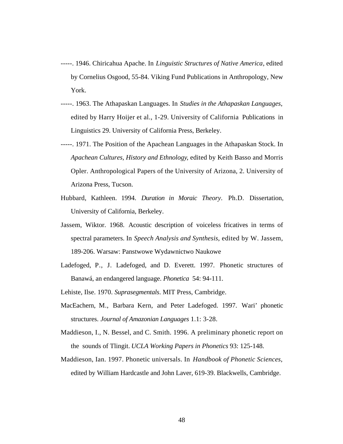- -----. 1946. Chiricahua Apache. In *Linguistic Structures of Native America*, edited by Cornelius Osgood, 55-84. Viking Fund Publications in Anthropology, New York.
- -----. 1963. The Athapaskan Languages. In *Studies in the Athapaskan Languages*, edited by Harry Hoijer et al., 1-29. University of California Publications in Linguistics 29. University of California Press, Berkeley.
- -----. 1971. The Position of the Apachean Languages in the Athapaskan Stock. In *Apachean Cultures, History and Ethnology*, edited by Keith Basso and Morris Opler. Anthropological Papers of the University of Arizona, 2. University of Arizona Press, Tucson.
- Hubbard, Kathleen. 1994. *Duration in Moraic Theory*. Ph.D. Dissertation, University of California, Berkeley.
- Jassem, Wiktor. 1968. Acoustic description of voiceless fricatives in terms of spectral parameters. In *Speech Analysis and Synthesis*, edited by W. Jassem, 189-206. Warsaw: Panstwowe Wydawnictwo Naukowe
- Ladefoged, P., J. Ladefoged, and D. Everett. 1997. Phonetic structures of Banawá, an endangered language. *Phonetica* 54: 94-111.
- Lehiste, Ilse. 1970. *Suprasegmentals*. MIT Press, Cambridge.
- MacEachern, M., Barbara Kern, and Peter Ladefoged. 1997. Wari' phonetic structures. *Journal of Amazonian Languages* 1.1: 3-28.
- Maddieson, I., N. Bessel, and C. Smith. 1996. A preliminary phonetic report on the sounds of Tlingit. *UCLA Working Papers in Phonetics* 93: 125-148.
- Maddieson, Ian. 1997. Phonetic universals. In *Handbook of Phonetic Sciences*, edited by William Hardcastle and John Laver, 619-39. Blackwells, Cambridge.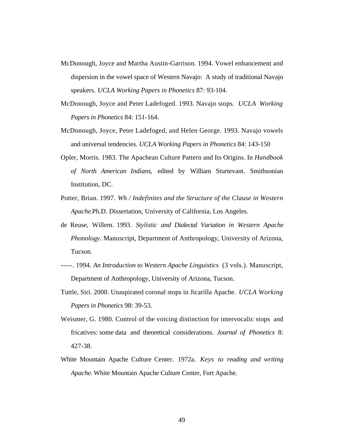- McDonough, Joyce and Martha Austin-Garrison. 1994. Vowel enhancement and dispersion in the vowel space of Western Navajo: A study of traditional Navajo speakers. *UCLA Working Papers in Phonetics* 87: 93-104.
- McDonough, Joyce and Peter Ladefoged. 1993. Navajo stops*. UCLA Working Papers in Phonetics* 84: 151-164.
- McDonough, Joyce, Peter Ladefoged, and Helen George. 1993. Navajo vowels and universal tendencies. *UCLA Working Papers in Phonetics* 84: 143-150
- Opler, Morris. 1983. The Apachean Culture Pattern and Its Origins. In *Handbook of North American Indians*, edited by William Sturtevant. Smithsonian Institution, DC.
- Potter, Brian. 1997. *Wh / Indefinites and the Structure of the Clause in Western Apache*.Ph.D. Dissertation, University of California, Los Angeles.
- de Reuse, Willem. 1993. *Stylistic and Dialectal Variation in Western Apache Phonology*. Manuscript, Department of Anthropology, University of Arizona, Tucson.
- -----. 1994. *An Introduction to Western Apache Linguistics* (3 vols.). Manuscript, Department of Anthropology, University of Arizona, Tucson.
- Tuttle, Siri. 2000. Unaspirated coronal stops in Jicarilla Apache. *UCLA Working Papers in Phonetics* 98: 39-53.
- Weismer, G. 1980. Control of the voicing distinction for intervocalic stops and fricatives: some data and theoretical considerations. *Journal of Phonetics* 8: 427-38.
- White Mountain Apache Culture Center. 1972a. *Keys to reading and writing Apache*. White Mountain Apache Culture Center, Fort Apache.